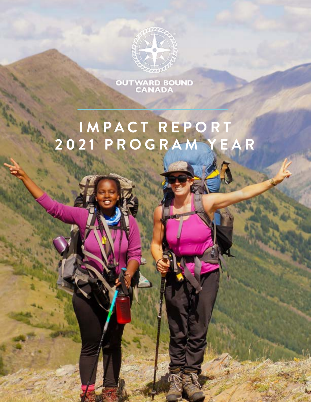

OUTWARD BOUND<br>CANADA

### **I M P A C T R E P O R T 2 0 2 1 P R O G R A M Y E A R**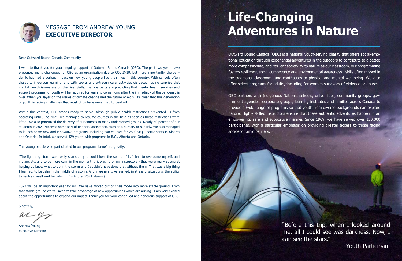Outward Bound Canada (OBC) is a national youth-serving charity that offers social-emotional education through experiential adventures in the outdoors to contribute to a better, more compassionate, and resilient society. With nature as our classroom, our programming fosters resilience, social competence and environmental awareness—skills often missed in the traditional classroom—and contributes to physical and mental well-being. We also offer select programs for adults, including for women survivors of violence or abuse.

OBC partners with Indigenous Nations, schools, universities, community groups, government agencies, corporate groups, learning institutes and families across Canada to provide a wide range of programs so that youth from diverse backgrounds can explore nature. Highly skilled instructors ensure that these authentic adventures happen in an empowering, safe and supportive manner. Since 1969, we have served over 150,000 participants, with a particular emphasis on providing greater access to those facing socioeconomic barriers.

# **Life-Changing Adventures in Nature**

"Before this trip, when I looked around me, all I could see was darkness. Now, I can see the stars."

– Youth Participant

Dear Outward Bound Canada Community,

I want to thank you for your ongoing support of Outward Bound Canada (OBC). The past two years have presented many challenges for OBC as an organization due to COVID-19, but more importantly, the pandemic has had a serious impact on how young people live their lives in this country. With schools often closed to in-person learning, and with sports and extracurricular activities disrupted, it's no surprise that mental health issues are on the rise. Sadly, many experts are predicting that mental health services and support programs for youth will be required for years to come, long after the immediacy of the pandemic is over. When you layer on the issues of climate change and the future of work, it's clear that this generation of youth is facing challenges that most of us have never had to deal with.

Within this context, OBC stands ready to serve. Although public health restrictions prevented us from operating until June 2021, we managed to resume courses in the field as soon as these restrictions were lifted. We also prioritized the delivery of our courses to many underserved groups. Nearly 50 percent of our students in 2021 received some sort of financial assistance, such as a bursary or subsidy. We also managed to launch some new and innovative programs, including two courses for 2SLGBTQ+ participants in Alberta and Ontario. In total, we served 429 youth with programs in B.C., Alberta and Ontario.

The young people who participated in our programs benefited greatly:

"The lightning storm was really scary. . . you could hear the sound of it. I had to overcome myself, and my anxiety, and to be more calm in the moment. If it wasn't for my instructors - they were really strong at helping us know what to do in the storm and I couldn't have done that without them. That was a big thing I learned, to be calm in the middle of a storm. And in general I've learned, in stressful situations, the ability to centre myself and be calm . . ." - Andre (2021 alumni)

2022 will be an important year for us. We have moved out of crisis mode into more stable ground. From that stable ground we will need to take advantage of new opportunities which are arising. I am very excited about the opportunities to expand our impact.Thank you for your continued and generous support of OBC.

Sincerely,

Andrew Young Executive Director



### MESSAGE FROM ANDREW YOUNG **EXECUTIVE DIRECTOR**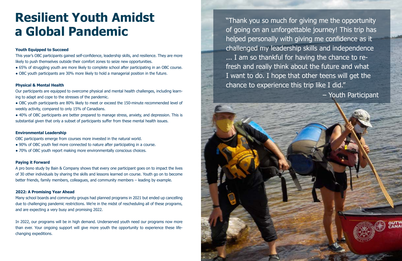"Thank you so much for giving me the opportunity of going on an unforgettable journey! This trip has helped personally with giving me confidence as it challenged my leadership skills and independence ... I am so thankful for having the chance to refresh and really think about the future and what I want to do. I hope that other teens will get the chance to experience this trip like I did."

– Youth Participant

#### **Youth Equipped to Succeed**

This year's OBC participants gained self-confidence, leadership skills, and resilience. They are more likely to push themselves outside their comfort zones to seize new opportunities.

- 65% of struggling youth are more likely to complete school after participating in an OBC course.
- OBC youth participants are 30% more likely to hold a managerial position in the future.

- OBC youth participants are 80% likely to meet or exceed the 150-minute recommended level of weekly activity, compared to only 15% of Canadians.
- 40% of OBC participants are better prepared to manage stress, anxiety, and depression. This is substantial given that only a subset of participants suffer from these mental health issues.

#### **Physical & Mental Health**

Our participants are equipped to overcome physical and mental health challenges, including learning to adapt and cope to the stresses of the pandemic.

#### **Environmental Leadership**

OBC participants emerge from courses more invested in the natural world.

- 90% of OBC youth feel more connected to nature after participating in a course.
- 70% of OBC youth report making more environmentally conscious choices.

#### **Paying it Forward**

A pro bono study by Bain & Company shows that every one participant goes on to impact the lives of 30 other individuals by sharing the skills and lessons learned on course. Youth go on to become better friends, family members, colleagues, and community members – leading by example.

#### **2022: A Promising Year Ahead**

Many school boards and community groups had planned programs in 2021 but ended up cancelling due to challenging pandemic restrictions. We're in the midst of rescheduling all of these programs, and are expecting a very busy and promising 2022.

In 2022, our programs will be in high demand. Underserved youth need our programs now more than ever. Your ongoing support will give more youth the opportunity to experience these lifechanging expeditions.

### **Resilient Youth Amidst a Global Pandemic**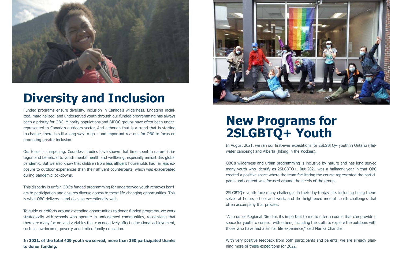### **New Programs for 2SLGBTQ+ Youth**

In August 2021, we ran our first-ever expeditions for 2SLGBTQ+ youth in Ontario (flatwater canoeing) and Alberta (hiking in the Rockies).

OBC's wilderness and urban programming is inclusive by nature and has long served many youth who identify as 2SLGBTQ+. But 2021 was a hallmark year in that OBC created a positive space where the team facilitating the course represented the participants and content was focused around the needs of the group.

With very positive feedback from both participants and parents, we are already planning more of these expeditions for 2022.

2SLGBTQ+ youth face many challenges in their day-to-day life, including being themselves at home, school and work, and the heightened mental health challenges that often accompany that process.

"As a queer Regional Director, it's important to me to offer a course that can provide a space for youth to connect with others, including the staff, to explore the outdoors with those who have had a similar life experience," said Marika Chandler.

Funded programs ensure diversity, inclusion in Canada's wilderness. Engaging racialized, marginalized, and underserved youth through our funded programming has always been a priority for OBC. Minority populations and BIPOC groups have often been underrepresented in Canada's outdoors sector. And although that is a trend that is starting to change, there is still a long way to go – and important reasons for OBC to focus on promoting greater inclusion.

Our focus is sharpening: Countless studies have shown that time spent in nature is integral and beneficial to youth mental health and wellbeing, especially amidst this global pandemic. But we also know that children from less affluent households had far less exposure to outdoor experiences than their affluent counterparts, which was exacerbated during pandemic lockdowns.

This disparity is unfair. OBC's funded programming for underserved youth removes barriers to participation and ensures diverse access to these life-changing opportunities. This is what OBC delivers – and does so exceptionally well.

To guide our efforts around extending opportunities to donor-funded programs, we work strategically with schools who operate in underserved communities, recognizing that there are many factors and variables that can negatively affect educational achievement, such as low-income, poverty and limited family education.

**In 2021, of the total 429 youth we served, more than 250 participated thanks to donor funding.** 





# **Diversity and Inclusion**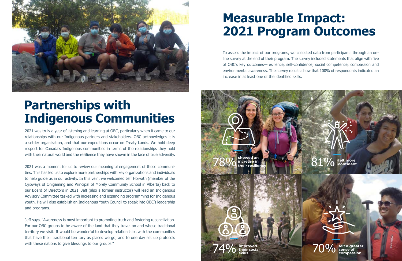

To assess the impact of our programs, we collected data from participants through an online survey at the end of their program. The survey included statements that align with five of OBC's key outcomes—resilience, self-confidence, social competence, compassion and environmental awareness. The survey results show that 100% of respondents indicated an increase in at least one of the identified skills.

### **Measurable Impact: 2021 Program Outcomes**

2021 was truly a year of listening and learning at OBC, particularly when it came to our relationships with our Indigenous partners and stakeholders. OBC acknowledges it is a settler organization, and that our expeditions occur on Treaty Lands. We hold deep respect for Canada's Indigenous communities in terms of the relationships they hold with their natural world and the resilience they have shown in the face of true adversity.

Jeff says, "Awareness is most important to promoting truth and fostering reconciliation. For our OBC groups to be aware of the land that they travel on and whose traditional territory we visit. It would be wonderful to develop relationships with the communities that have their traditional territory as places we go, and to one day set up protocols with these nations to give blessings to our groups."

2021 was a moment for us to review our meaningful engagement of these communities. This has led us to explore more partnerships with key organizations and individuals to help guide us in our activity. In this vein, we welcomed Jeff Horvath (member of the Ojibways of Onigaming and Principal of Morely Community School in Alberta) back to our Board of Directors in 2021. Jeff (also a former instructor) will lead an Indigenous Advisory Committee tasked with increasing and expanding programming for Indigenous youth. He will also establish an Indigenous Youth Council to speak into OBC's leadership and programs.



### **Partnerships with Indigenous Communities**